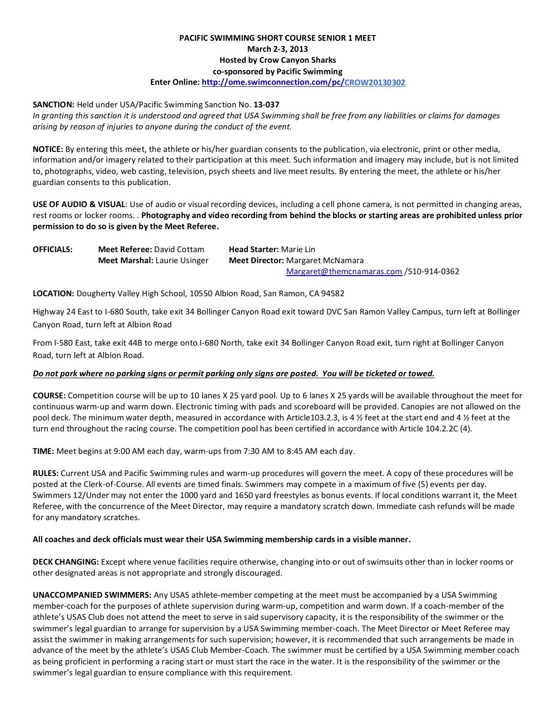# **PACIFIC SWIMMING SHORT COURSE SENIOR 1 MEET March 2-3, 2013 Hosted by Crow Canyon Sharks co-sponsored by Pacific Swimming Enter Online[: http://ome.swimconnection.com/pc/C](http://ome.swimconnection.com/pc/scsc20130126)ROW20130302**

## **SANCTION:** Held under USA/Pacific Swimming Sanction No. **13-037**

*In granting this sanction it is understood and agreed that USA Swimming shall be free from any liabilities or claims for damages arising by reason of injuries to anyone during the conduct of the event.* 

**NOTICE:** By entering this meet, the athlete or his/her guardian consents to the publication, via electronic, print or other media, information and/or imagery related to their participation at this meet. Such information and imagery may include, but is not limited to, photographs, video, web casting, television, psych sheets and live meet results. By entering the meet, the athlete or his/her guardian consents to this publication.

**USE OF AUDIO & VISUAL**: Use of audio or visual recording devices, including a cell phone camera, is not permitted in changing areas, rest rooms or locker rooms. . **Photography and video recording from behind the blocks or starting areas are prohibited unless prior permission to do so is given by the Meet Referee.**

| <b>OFFICIALS:</b> | <b>Meet Referee: David Cottam</b>   | <b>Head Starter: Marie Lin</b>           |
|-------------------|-------------------------------------|------------------------------------------|
|                   | <b>Meet Marshal: Laurie Usinger</b> | <b>Meet Director:</b> Margaret McNamara  |
|                   |                                     | $Margaret@themcnamaras.com/510-914-0362$ |

**LOCATION:** Dougherty Valley High School, 10550 Albion Road, San Ramon, CA 94582

Highway 24 East to I-680 South, take exit 34 Bollinger Canyon Road exit toward DVC San Ramon Valley Campus, turn left at Bollinger Canyon Road, turn left at Albion Road

From I-580 East, take exit 44B to merge onto I-680 North, take exit 34 Bollinger Canyon Road exit, turn right at Bollinger Canyon Road, turn left at Albion Road.

## *Do not park where no parking signs or permit parking only signs are posted. You will be ticketed or towed.*

**COURSE:** Competition course will be up to 10 lanes X 25 yard pool. Up to 6 lanes X 25 yards will be available throughout the meet for continuous warm-up and warm down. Electronic timing with pads and scoreboard will be provided. Canopies are not allowed on the pool deck. The minimum water depth, measured in accordance with Article103.2.3, is 4 ½ feet at the start end and 4 ½ feet at the turn end throughout the racing course. The competition pool has been certified in accordance with Article 104.2.2C (4).

**TIME:** Meet begins at 9:00 AM each day, warm-ups from 7:30 AM to 8:45 AM each day.

**RULES:** Current USA and Pacific Swimming rules and warm-up procedures will govern the meet. A copy of these procedures will be posted at the Clerk-of-Course. All events are timed finals. Swimmers may compete in a maximum of five (5) events per day. Swimmers 12/Under may not enter the 1000 yard and 1650 yard freestyles as bonus events. If local conditions warrant it, the Meet Referee, with the concurrence of the Meet Director, may require a mandatory scratch down. Immediate cash refunds will be made for any mandatory scratches.

#### **All coaches and deck officials must wear their USA Swimming membership cards in a visible manner.**

**DECK CHANGING:** Except where venue facilities require otherwise, changing into or out of swimsuits other than in locker rooms or other designated areas is not appropriate and strongly discouraged.

**UNACCOMPANIED SWIMMERS:** Any USAS athlete-member competing at the meet must be accompanied by a USA Swimming member-coach for the purposes of athlete supervision during warm-up, competition and warm down. If a coach-member of the athlete's USAS Club does not attend the meet to serve in said supervisory capacity, it is the responsibility of the swimmer or the swimmer's legal guardian to arrange for supervision by a USA Swimming member-coach. The Meet Director or Meet Referee may assist the swimmer in making arrangements for such supervision; however, it is recommended that such arrangements be made in advance of the meet by the athlete's USAS Club Member-Coach. The swimmer must be certified by a USA Swimming member coach as being proficient in performing a racing start or must start the race in the water. It is the responsibility of the swimmer or the swimmer's legal guardian to ensure compliance with this requirement.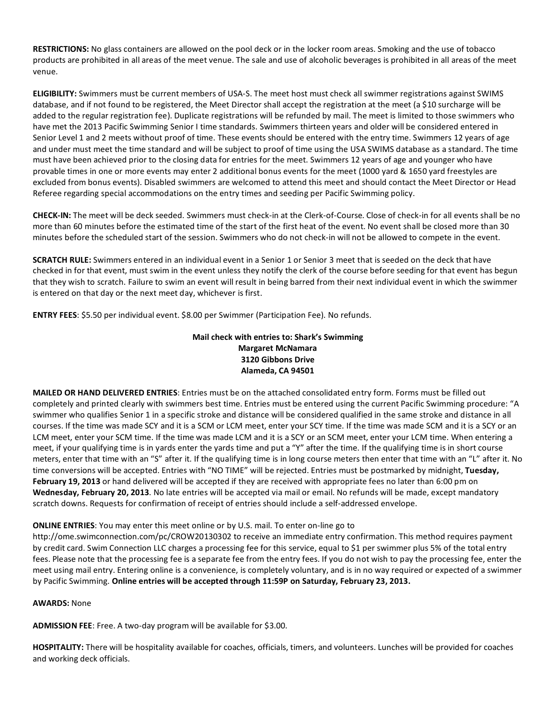**RESTRICTIONS:** No glass containers are allowed on the pool deck or in the locker room areas. Smoking and the use of tobacco products are prohibited in all areas of the meet venue. The sale and use of alcoholic beverages is prohibited in all areas of the meet venue.

**ELIGIBILITY:** Swimmers must be current members of USA-S. The meet host must check all swimmer registrations against SWIMS database, and if not found to be registered, the Meet Director shall accept the registration at the meet (a \$10 surcharge will be added to the regular registration fee). Duplicate registrations will be refunded by mail. The meet is limited to those swimmers who have met the 2013 Pacific Swimming Senior I time standards. Swimmers thirteen years and older will be considered entered in Senior Level 1 and 2 meets without proof of time. These events should be entered with the entry time. Swimmers 12 years of age and under must meet the time standard and will be subject to proof of time using the USA SWIMS database as a standard. The time must have been achieved prior to the closing data for entries for the meet. Swimmers 12 years of age and younger who have provable times in one or more events may enter 2 additional bonus events for the meet (1000 yard & 1650 yard freestyles are excluded from bonus events). Disabled swimmers are welcomed to attend this meet and should contact the Meet Director or Head Referee regarding special accommodations on the entry times and seeding per Pacific Swimming policy.

**CHECK-IN:** The meet will be deck seeded. Swimmers must check-in at the Clerk-of-Course. Close of check-in for all events shall be no more than 60 minutes before the estimated time of the start of the first heat of the event. No event shall be closed more than 30 minutes before the scheduled start of the session. Swimmers who do not check-in will not be allowed to compete in the event.

**SCRATCH RULE:** Swimmers entered in an individual event in a Senior 1 or Senior 3 meet that is seeded on the deck that have checked in for that event, must swim in the event unless they notify the clerk of the course before seeding for that event has begun that they wish to scratch. Failure to swim an event will result in being barred from their next individual event in which the swimmer is entered on that day or the next meet day, whichever is first.

**ENTRY FEES**: \$5.50 per individual event. \$8.00 per Swimmer (Participation Fee). No refunds.

# **Mail check with entries to: Shark's Swimming Margaret McNamara 3120 Gibbons Drive Alameda, CA 94501**

**MAILED OR HAND DELIVERED ENTRIES**: Entries must be on the attached consolidated entry form. Forms must be filled out completely and printed clearly with swimmers best time. Entries must be entered using the current Pacific Swimming procedure: "A swimmer who qualifies Senior 1 in a specific stroke and distance will be considered qualified in the same stroke and distance in all courses. If the time was made SCY and it is a SCM or LCM meet, enter your SCY time. If the time was made SCM and it is a SCY or an LCM meet, enter your SCM time. If the time was made LCM and it is a SCY or an SCM meet, enter your LCM time. When entering a meet, if your qualifying time is in yards enter the yards time and put a "Y" after the time. If the qualifying time is in short course meters, enter that time with an "S" after it. If the qualifying time is in long course meters then enter that time with an "L" after it. No time conversions will be accepted. Entries with "NO TIME" will be rejected. Entries must be postmarked by midnight, **Tuesday, February 19, 2013** or hand delivered will be accepted if they are received with appropriate fees no later than 6:00 pm on **Wednesday, February 20, 2013**. No late entries will be accepted via mail or email. No refunds will be made, except mandatory scratch downs. Requests for confirmation of receipt of entries should include a self-addressed envelope.

## **ONLINE ENTRIES**: You may enter this meet online or by U.S. mail. To enter on-line go to

http://ome.swimconnection.com/pc/CROW20130302 to receive an immediate entry confirmation. This method requires payment by credit card. Swim Connection LLC charges a processing fee for this service, equal to \$1 per swimmer plus 5% of the total entry fees. Please note that the processing fee is a separate fee from the entry fees. If you do not wish to pay the processing fee, enter the meet using mail entry. Entering online is a convenience, is completely voluntary, and is in no way required or expected of a swimmer by Pacific Swimming. **Online entries will be accepted through 11:59P on Saturday, February 23, 2013.** 

#### **AWARDS:** None

**ADMISSION FEE**: Free. A two-day program will be available for \$3.00.

**HOSPITALITY:** There will be hospitality available for coaches, officials, timers, and volunteers. Lunches will be provided for coaches and working deck officials.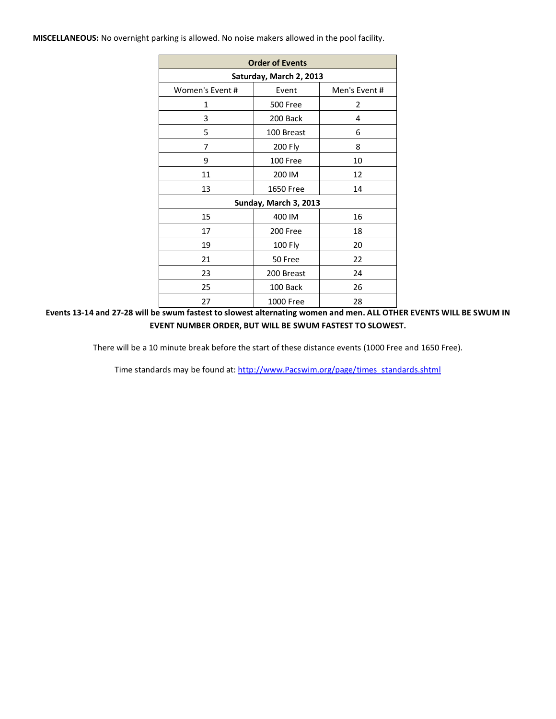**MISCELLANEOUS:** No overnight parking is allowed. No noise makers allowed in the pool facility.

| <b>Order of Events</b>  |                       |              |  |  |  |  |  |  |  |  |  |  |
|-------------------------|-----------------------|--------------|--|--|--|--|--|--|--|--|--|--|
| Saturday, March 2, 2013 |                       |              |  |  |  |  |  |  |  |  |  |  |
| Women's Event#          | Event                 | Men's Event# |  |  |  |  |  |  |  |  |  |  |
| 1                       | <b>500 Free</b>       | 2            |  |  |  |  |  |  |  |  |  |  |
| 3                       | 200 Back              | 4            |  |  |  |  |  |  |  |  |  |  |
| 5                       | 100 Breast            | 6            |  |  |  |  |  |  |  |  |  |  |
| 7                       | 200 Fly               | 8            |  |  |  |  |  |  |  |  |  |  |
| 9                       | 100 Free              | 10           |  |  |  |  |  |  |  |  |  |  |
| 11                      | 200 IM                | 12           |  |  |  |  |  |  |  |  |  |  |
| 13                      | <b>1650 Free</b>      | 14           |  |  |  |  |  |  |  |  |  |  |
|                         | Sunday, March 3, 2013 |              |  |  |  |  |  |  |  |  |  |  |
| 15<br>400 IM<br>16      |                       |              |  |  |  |  |  |  |  |  |  |  |
| 17                      | 200 Free              | 18           |  |  |  |  |  |  |  |  |  |  |
| 19                      | 100 Fly               | 20           |  |  |  |  |  |  |  |  |  |  |
| 21                      | 50 Free               | 22           |  |  |  |  |  |  |  |  |  |  |
| 23                      | 200 Breast            | 24           |  |  |  |  |  |  |  |  |  |  |
| 25                      | 100 Back              | 26           |  |  |  |  |  |  |  |  |  |  |
| 27                      | 1000 Free             | 28           |  |  |  |  |  |  |  |  |  |  |

**Events 13-14 and 27-28 will be swum fastest to slowest alternating women and men. ALL OTHER EVENTS WILL BE SWUM IN EVENT NUMBER ORDER, BUT WILL BE SWUM FASTEST TO SLOWEST.**

There will be a 10 minute break before the start of these distance events (1000 Free and 1650 Free).

Time standards may be found at: [http://www.Pacswim.org/page/times\\_standards.shtml](http://www.pacswim.org/page/times_standards.shtml)